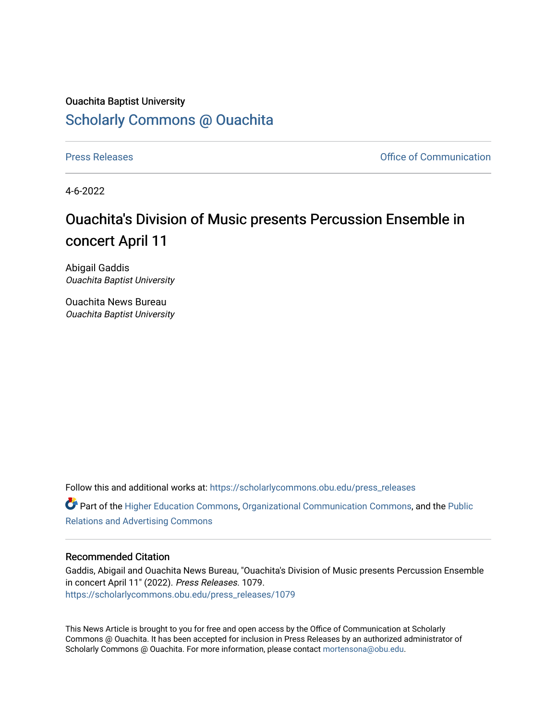## Ouachita Baptist University [Scholarly Commons @ Ouachita](https://scholarlycommons.obu.edu/)

[Press Releases](https://scholarlycommons.obu.edu/press_releases) **Press Releases Communication** 

4-6-2022

## Ouachita's Division of Music presents Percussion Ensemble in concert April 11

Abigail Gaddis Ouachita Baptist University

Ouachita News Bureau Ouachita Baptist University

Follow this and additional works at: [https://scholarlycommons.obu.edu/press\\_releases](https://scholarlycommons.obu.edu/press_releases?utm_source=scholarlycommons.obu.edu%2Fpress_releases%2F1079&utm_medium=PDF&utm_campaign=PDFCoverPages)

Part of the [Higher Education Commons,](http://network.bepress.com/hgg/discipline/1245?utm_source=scholarlycommons.obu.edu%2Fpress_releases%2F1079&utm_medium=PDF&utm_campaign=PDFCoverPages) [Organizational Communication Commons,](http://network.bepress.com/hgg/discipline/335?utm_source=scholarlycommons.obu.edu%2Fpress_releases%2F1079&utm_medium=PDF&utm_campaign=PDFCoverPages) and the [Public](http://network.bepress.com/hgg/discipline/336?utm_source=scholarlycommons.obu.edu%2Fpress_releases%2F1079&utm_medium=PDF&utm_campaign=PDFCoverPages) [Relations and Advertising Commons](http://network.bepress.com/hgg/discipline/336?utm_source=scholarlycommons.obu.edu%2Fpress_releases%2F1079&utm_medium=PDF&utm_campaign=PDFCoverPages) 

## Recommended Citation

Gaddis, Abigail and Ouachita News Bureau, "Ouachita's Division of Music presents Percussion Ensemble in concert April 11" (2022). Press Releases. 1079. [https://scholarlycommons.obu.edu/press\\_releases/1079](https://scholarlycommons.obu.edu/press_releases/1079?utm_source=scholarlycommons.obu.edu%2Fpress_releases%2F1079&utm_medium=PDF&utm_campaign=PDFCoverPages) 

This News Article is brought to you for free and open access by the Office of Communication at Scholarly Commons @ Ouachita. It has been accepted for inclusion in Press Releases by an authorized administrator of Scholarly Commons @ Ouachita. For more information, please contact [mortensona@obu.edu](mailto:mortensona@obu.edu).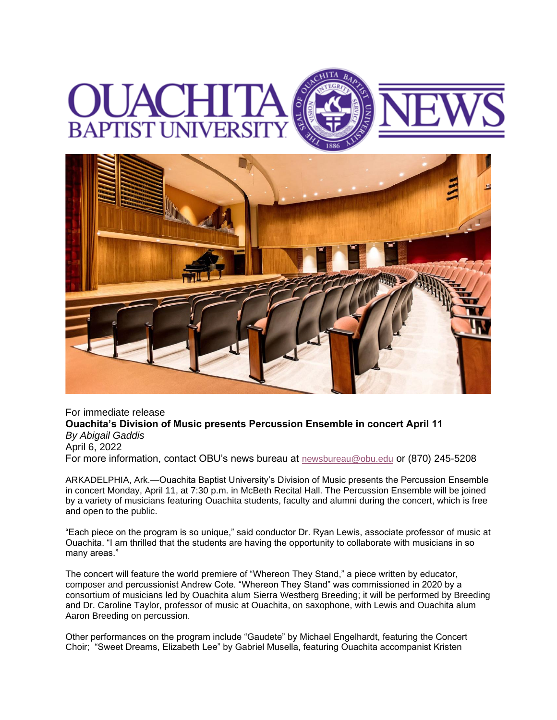## UNI



For immediate release **Ouachita's Division of Music presents Percussion Ensemble in concert April 11** *By Abigail Gaddis* April 6, 2022 For more information, contact OBU's news bureau at [newsbureau@obu.edu](mailto:newsbureau@obu.edu) or (870) 245-5208

ARKADELPHIA, Ark.—Ouachita Baptist University's Division of Music presents the Percussion Ensemble in concert Monday, April 11, at 7:30 p.m. in McBeth Recital Hall. The Percussion Ensemble will be joined by a variety of musicians featuring Ouachita students, faculty and alumni during the concert, which is free and open to the public.

"Each piece on the program is so unique," said conductor Dr. Ryan Lewis, associate professor of music at Ouachita. "I am thrilled that the students are having the opportunity to collaborate with musicians in so many areas."

The concert will feature the world premiere of "Whereon They Stand," a piece written by educator, composer and percussionist Andrew Cote. "Whereon They Stand" was commissioned in 2020 by a consortium of musicians led by Ouachita alum Sierra Westberg Breeding; it will be performed by Breeding and Dr. Caroline Taylor, professor of music at Ouachita, on saxophone, with Lewis and Ouachita alum Aaron Breeding on percussion.

Other performances on the program include "Gaudete" by Michael Engelhardt, featuring the Concert Choir; "Sweet Dreams, Elizabeth Lee" by Gabriel Musella, featuring Ouachita accompanist Kristen